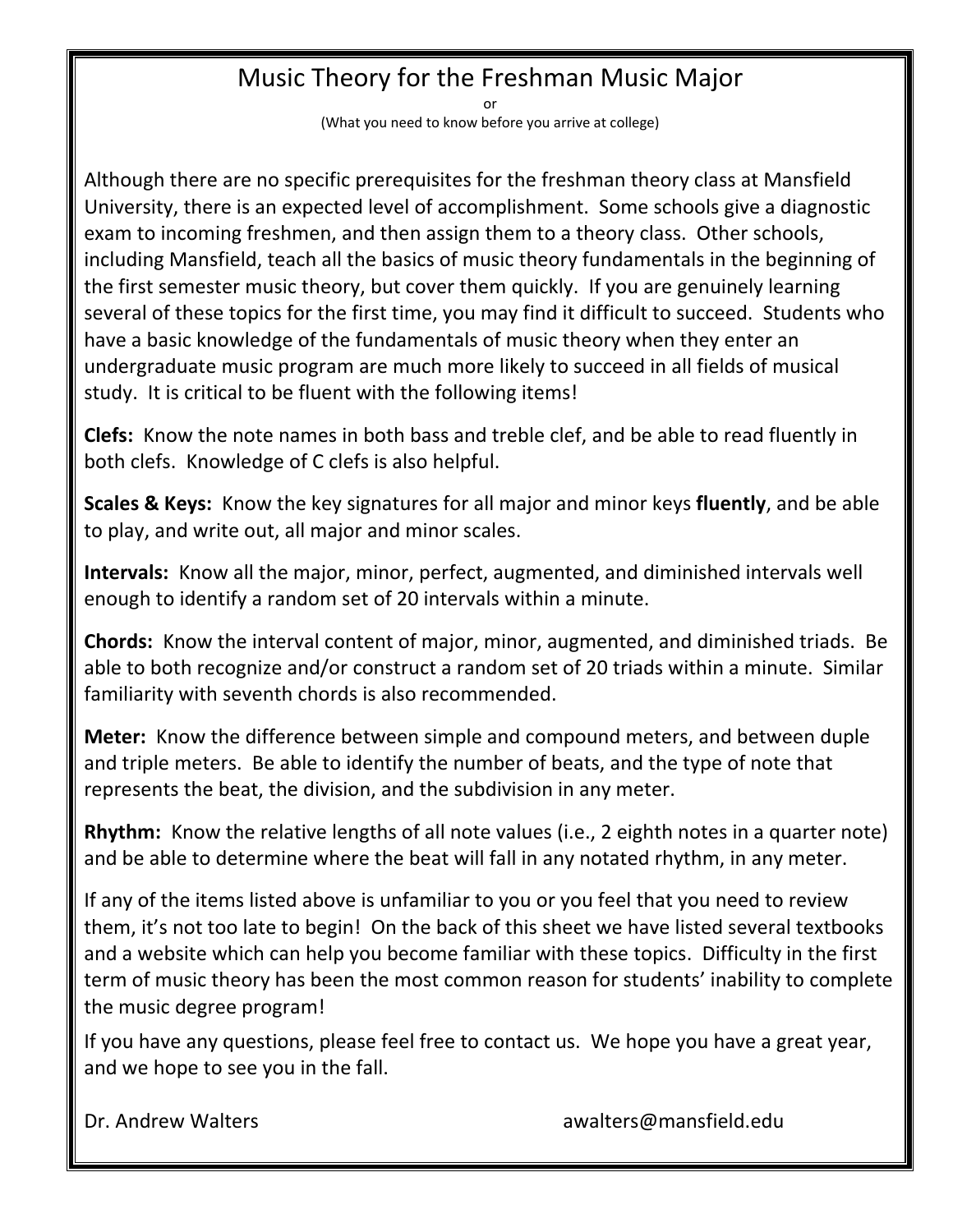## Music Theory for the Freshman Music Major

or

(What you need to know before you arrive at college)

Although there are no specific prerequisites for the freshman theory class at Mansfield University, there is an expected level of accomplishment. Some schools give a diagnostic exam to incoming freshmen, and then assign them to a theory class. Other schools, including Mansfield, teach all the basics of music theory fundamentals in the beginning of the first semester music theory, but cover them quickly. If you are genuinely learning several of these topics for the first time, you may find it difficult to succeed. Students who have a basic knowledge of the fundamentals of music theory when they enter an undergraduate music program are much more likely to succeed in all fields of musical study. It is critical to be fluent with the following items!

**Clefs:** Know the note names in both bass and treble clef, and be able to read fluently in both clefs. Knowledge of C clefs is also helpful.

**Scales & Keys:** Know the key signatures for all major and minor keys **fluently**, and be able to play, and write out, all major and minor scales.

**Intervals:** Know all the major, minor, perfect, augmented, and diminished intervals well enough to identify a random set of 20 intervals within a minute.

**Chords:** Know the interval content of major, minor, augmented, and diminished triads. Be able to both recognize and/or construct a random set of 20 triads within a minute. Similar familiarity with seventh chords is also recommended.

**Meter:** Know the difference between simple and compound meters, and between duple and triple meters. Be able to identify the number of beats, and the type of note that represents the beat, the division, and the subdivision in any meter.

**Rhythm:** Know the relative lengths of all note values (i.e., 2 eighth notes in a quarter note) and be able to determine where the beat will fall in any notated rhythm, in any meter.

If any of the items listed above is unfamiliar to you or you feel that you need to review them, it's not too late to begin! On the back of this sheet we have listed several textbooks and a website which can help you become familiar with these topics. Difficulty in the first term of music theory has been the most common reason for students' inability to complete the music degree program!

If you have any questions, please feel free to contact us. We hope you have a great year, and we hope to see you in the fall.

Dr. Andrew Walters and the control of the [awalters@mansfield.edu](mailto:awalters@mansfield.edu)